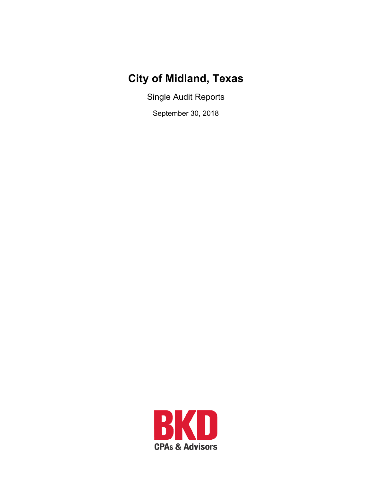# **City of Midland, Texas**

Single Audit Reports

September 30, 2018

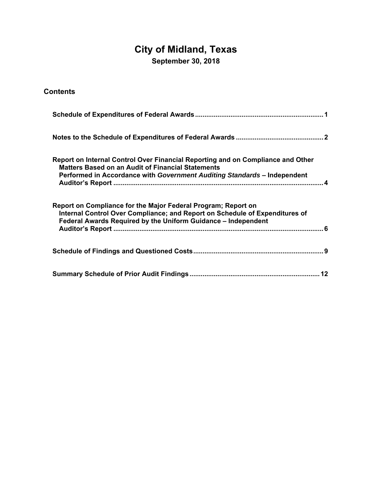# **City of Midland, Texas**

**September 30, 2018** 

| <b>Contents</b>                                                                                                                                                                                                         |
|-------------------------------------------------------------------------------------------------------------------------------------------------------------------------------------------------------------------------|
|                                                                                                                                                                                                                         |
|                                                                                                                                                                                                                         |
| Report on Internal Control Over Financial Reporting and on Compliance and Other<br><b>Matters Based on an Audit of Financial Statements</b><br>Performed in Accordance with Government Auditing Standards - Independent |
| Report on Compliance for the Major Federal Program; Report on<br>Internal Control Over Compliance; and Report on Schedule of Expenditures of<br>Federal Awards Required by the Uniform Guidance - Independent           |
|                                                                                                                                                                                                                         |
|                                                                                                                                                                                                                         |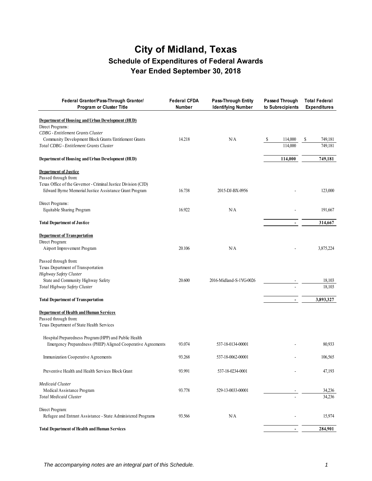# **City of Midland, Texas Schedule of Expenditures of Federal Awards Year Ended September 30, 2018**

| Federal Grantor/Pass-Through Grantor/<br>Program or Cluster Title                                                                                                                                                     | <b>Federal CFDA</b><br>Number | <b>Pass-Through Entity</b><br><b>Identifying Number</b> | <b>Passed Through</b><br>to Subrecipients | <b>Total Federal</b><br><b>Expenditures</b> |
|-----------------------------------------------------------------------------------------------------------------------------------------------------------------------------------------------------------------------|-------------------------------|---------------------------------------------------------|-------------------------------------------|---------------------------------------------|
| Department of Housing and Urban Development (HUD)<br>Direct Programs:<br><b>CDBG</b> - Entitlement Grants Cluster<br>Community Development Block Grants/Entitlement Grants<br>Total CDBG - Entitlement Grants Cluster | 14.218                        | N/A                                                     | 114,000<br>-S<br>114,000                  | 749,181<br>S<br>749,181                     |
| Department of Housing and Urban Development (HUD)                                                                                                                                                                     |                               |                                                         | 114,000                                   | 749,181                                     |
| <b>Department of Justice</b><br>Passed through from:<br>Texas Office of the Governor - Criminal Justice Division (CJD)<br>Edward Byrne Memorial Justice Assistance Grant Program                                      | 16.738                        | 2015-DJ-BX-0956                                         |                                           | 123,000                                     |
| Direct Programs:<br>Equitable Sharing Program                                                                                                                                                                         | 16.922                        | N/A                                                     |                                           | 191,667                                     |
| <b>Total Department of Justice</b>                                                                                                                                                                                    |                               |                                                         |                                           | 314,667                                     |
| <b>Department of Transportation</b><br>Direct Program:<br>Airport Improvement Program<br>Passed through from:                                                                                                         | 20.106                        | N/A                                                     |                                           | 3,875,224                                   |
| Texas Department of Transportation<br>Highway Safety Cluster<br>State and Community Highway Safety<br>Total Highway Safety Cluster                                                                                    | 20.600                        | 2016-Midland-S-1YG-0026                                 |                                           | 18,103<br>18,103                            |
| <b>Total Department of Transportation</b>                                                                                                                                                                             |                               |                                                         |                                           | 3,893,327                                   |
| <b>Department of Health and Human Services</b><br>Passed through from:<br>Texas Department of State Health Services                                                                                                   |                               |                                                         |                                           |                                             |
| Hospital Preparedness Program (HPP) and Public Health<br>Emergency Preparedness (PHEP) Aligned Cooperative Agreements                                                                                                 | 93.074                        | 537-18-0134-00001                                       |                                           | 80,933                                      |
| Immunization Cooperative Agreements                                                                                                                                                                                   | 93.268                        | 537-18-0062-00001                                       |                                           | 106,565                                     |
| Preventive Health and Health Services Block Grant                                                                                                                                                                     | 93.991                        | 537-18-0234-0001                                        |                                           | 47,193                                      |
| <b>Medicaid Cluster</b><br>Medical Assistance Program<br><b>Total Medicaid Cluster</b>                                                                                                                                | 93.778                        | 529-13-0033-00001                                       |                                           | 34,236<br>34,236                            |
| Direct Program:<br>Refugee and Entrant Assistance - State Administered Programs                                                                                                                                       | 93.566                        | N/A                                                     |                                           | 15,974                                      |
| <b>Total Department of Health and Human Services</b>                                                                                                                                                                  |                               |                                                         | $\blacksquare$                            | 284,901                                     |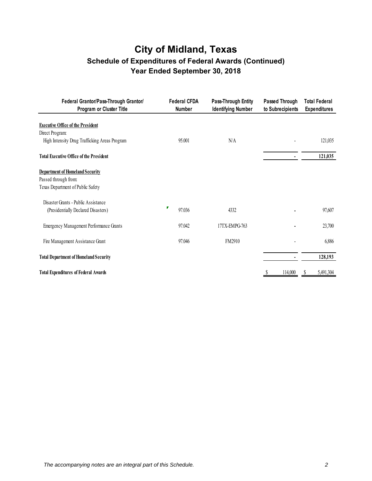# **City of Midland, Texas Schedule of Expenditures of Federal Awards (Continued) Year Ended September 30, 2018**

| Federal Grantor/Pass-Through Grantor/<br>Program or Cluster Title | <b>Federal CFDA</b><br>Number | Pass-Through Entity<br><b>Identifying Number</b> | Passed Through<br>to Subrecipients | <b>Total Federal</b><br><b>Expenditures</b> |
|-------------------------------------------------------------------|-------------------------------|--------------------------------------------------|------------------------------------|---------------------------------------------|
| <b>Executive Office of the President</b>                          |                               |                                                  |                                    |                                             |
| Direct Program:                                                   |                               |                                                  |                                    |                                             |
| High Intensity Drug Trafficking Areas Program                     | 95.001                        | N/A                                              |                                    | 121,035                                     |
| <b>Total Executive Office of the President</b>                    |                               |                                                  |                                    | 121,035                                     |
| <b>Department of Homeland Security</b>                            |                               |                                                  |                                    |                                             |
| Passed through from:                                              |                               |                                                  |                                    |                                             |
| Texas Department of Public Safety                                 |                               |                                                  |                                    |                                             |
| Disaster Grants - Public Assistance                               |                               |                                                  |                                    |                                             |
| (Presidentially Declared Disasters)                               | ₽<br>97.036                   | 4332                                             |                                    | 97,607                                      |
|                                                                   |                               |                                                  |                                    |                                             |
| <b>Emergency Management Performance Grants</b>                    | 97.042                        | 17TX-EMPG-763                                    |                                    | 23,700                                      |
| Fire Management Assistance Grant                                  | 97.046                        | FM2910                                           |                                    | 6,886                                       |
|                                                                   |                               |                                                  |                                    |                                             |
| <b>Total Department of Homeland Security</b>                      |                               |                                                  |                                    | 128,193                                     |
|                                                                   |                               |                                                  |                                    |                                             |
| <b>Total Expenditures of Federal Awards</b>                       |                               |                                                  | 114,000                            | 5,491,304                                   |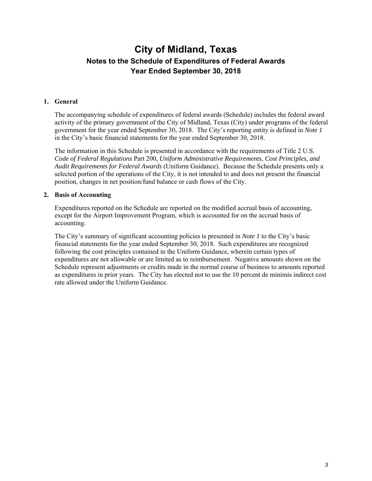## **City of Midland, Texas Notes to the Schedule of Expenditures of Federal Awards Year Ended September 30, 2018**

#### **1. General**

The accompanying schedule of expenditures of federal awards (Schedule) includes the federal award activity of the primary government of the City of Midland, Texas (City) under programs of the federal government for the year ended September 30, 2018. The City's reporting entity is defined in *Note 1* in the City's basic financial statements for the year ended September 30, 2018.

The information in this Schedule is presented in accordance with the requirements of Title 2 U.S. *Code of Federal Regulations* Part 200, *Uniform Administrative Requirements, Cost Principles, and Audit Requirements for Federal Awards* (Uniform Guidance). Because the Schedule presents only a selected portion of the operations of the City, it is not intended to and does not present the financial position, changes in net position/fund balance or cash flows of the City.

#### **2. Basis of Accounting**

Expenditures reported on the Schedule are reported on the modified accrual basis of accounting, except for the Airport Improvement Program, which is accounted for on the accrual basis of accounting.

The City's summary of significant accounting policies is presented in *Note 1* to the City's basic financial statements for the year ended September 30, 2018. Such expenditures are recognized following the cost principles contained in the Uniform Guidance, wherein certain types of expenditures are not allowable or are limited as to reimbursement. Negative amounts shown on the Schedule represent adjustments or credits made in the normal course of business to amounts reported as expenditures in prior years. The City has elected not to use the 10 percent de minimis indirect cost rate allowed under the Uniform Guidance.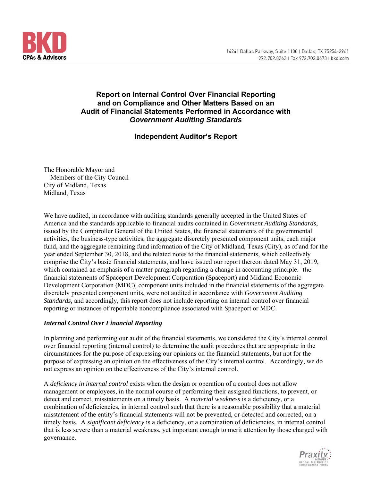

### **Report on Internal Control Over Financial Reporting and on Compliance and Other Matters Based on an Audit of Financial Statements Performed in Accordance with**  *Government Auditing Standards*

### **Independent Auditor's Report**

The Honorable Mayor and Members of the City Council City of Midland, Texas Midland, Texas

We have audited, in accordance with auditing standards generally accepted in the United States of America and the standards applicable to financial audits contained in *Government Auditing Standards*, issued by the Comptroller General of the United States, the financial statements of the governmental activities, the business-type activities, the aggregate discretely presented component units, each major fund, and the aggregate remaining fund information of the City of Midland, Texas (City), as of and for the year ended September 30, 2018, and the related notes to the financial statements, which collectively comprise the City's basic financial statements, and have issued our report thereon dated May 31, 2019, which contained an emphasis of a matter paragraph regarding a change in accounting principle. The financial statements of Spaceport Development Corporation (Spaceport) and Midland Economic Development Corporation (MDC), component units included in the financial statements of the aggregate discretely presented component units, were not audited in accordance with *Government Auditing Standards,* and accordingly, this report does not include reporting on internal control over financial reporting or instances of reportable noncompliance associated with Spaceport or MDC.

#### *Internal Control Over Financial Reporting*

In planning and performing our audit of the financial statements, we considered the City's internal control over financial reporting (internal control) to determine the audit procedures that are appropriate in the circumstances for the purpose of expressing our opinions on the financial statements, but not for the purpose of expressing an opinion on the effectiveness of the City's internal control. Accordingly, we do not express an opinion on the effectiveness of the City's internal control.

A *deficiency in internal control* exists when the design or operation of a control does not allow management or employees, in the normal course of performing their assigned functions, to prevent, or detect and correct, misstatements on a timely basis. A *material weakness* is a deficiency, or a combination of deficiencies, in internal control such that there is a reasonable possibility that a material misstatement of the entity's financial statements will not be prevented, or detected and corrected, on a timely basis. A *significant deficiency* is a deficiency, or a combination of deficiencies, in internal control that is less severe than a material weakness, yet important enough to merit attention by those charged with governance.

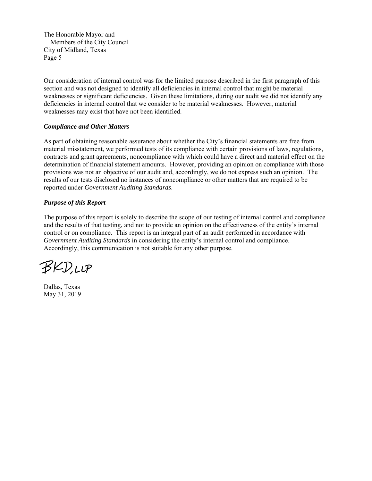The Honorable Mayor and Members of the City Council City of Midland, Texas Page 5

Our consideration of internal control was for the limited purpose described in the first paragraph of this section and was not designed to identify all deficiencies in internal control that might be material weaknesses or significant deficiencies. Given these limitations, during our audit we did not identify any deficiencies in internal control that we consider to be material weaknesses. However, material weaknesses may exist that have not been identified.

#### *Compliance and Other Matters*

As part of obtaining reasonable assurance about whether the City's financial statements are free from material misstatement, we performed tests of its compliance with certain provisions of laws, regulations, contracts and grant agreements, noncompliance with which could have a direct and material effect on the determination of financial statement amounts. However, providing an opinion on compliance with those provisions was not an objective of our audit and, accordingly, we do not express such an opinion. The results of our tests disclosed no instances of noncompliance or other matters that are required to be reported under *Government Auditing Standards*.

#### *Purpose of this Report*

The purpose of this report is solely to describe the scope of our testing of internal control and compliance and the results of that testing, and not to provide an opinion on the effectiveness of the entity's internal control or on compliance. This report is an integral part of an audit performed in accordance with *Government Auditing Standards* in considering the entity's internal control and compliance. Accordingly, this communication is not suitable for any other purpose.

BKD.LLP

Dallas, Texas May 31, 2019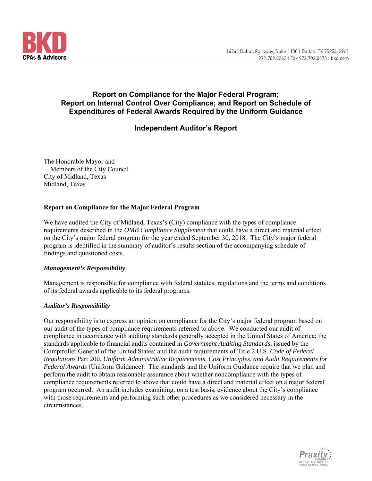

### **Report on Compliance for the Major Federal Program; Report on Internal Control Over Compliance; and Report on Schedule of Expenditures of Federal Awards Required by the Uniform Guidance**

### **Independent Auditor's Report**

The Honorable Mayor and Members of the City Council City of Midland, Texas Midland, Texas

#### **Report on Compliance for the Major Federal Program**

We have audited the City of Midland, Texas's (City) compliance with the types of compliance requirements described in the *OMB Compliance Supplement* that could have a direct and material effect on the City's major federal program for the year ended September 30, 2018. The City's major federal program is identified in the summary of auditor's results section of the accompanying schedule of findings and questioned costs.

#### *Management's Responsibility*

Management is responsible for compliance with federal statutes, regulations and the terms and conditions of its federal awards applicable to its federal programs.

#### *Auditor's Responsibility*

Our responsibility is to express an opinion on compliance for the City's major federal program based on our audit of the types of compliance requirements referred to above. We conducted our audit of compliance in accordance with auditing standards generally accepted in the United States of America; the standards applicable to financial audits contained in *Government Auditing Standards*, issued by the Comptroller General of the United States; and the audit requirements of Title 2 U.S. *Code of Federal Regulations* Part 200, *Uniform Administrative Requirements, Cost Principles, and Audit Requirements for Federal Awards* (Uniform Guidance). The standards and the Uniform Guidance require that we plan and perform the audit to obtain reasonable assurance about whether noncompliance with the types of compliance requirements referred to above that could have a direct and material effect on a major federal program occurred. An audit includes examining, on a test basis, evidence about the City's compliance with those requirements and performing such other procedures as we considered necessary in the circumstances.

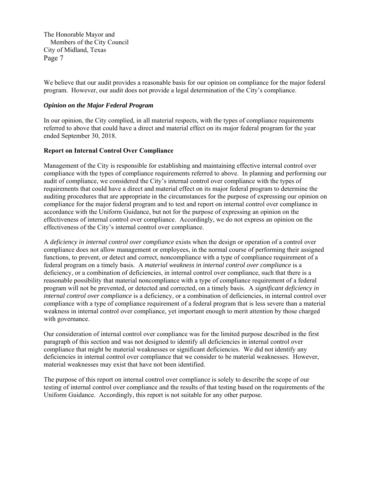The Honorable Mayor and Members of the City Council City of Midland, Texas Page 7

We believe that our audit provides a reasonable basis for our opinion on compliance for the major federal program. However, our audit does not provide a legal determination of the City's compliance.

#### *Opinion on the Major Federal Program*

In our opinion, the City complied, in all material respects, with the types of compliance requirements referred to above that could have a direct and material effect on its major federal program for the year ended September 30, 2018.

#### **Report on Internal Control Over Compliance**

Management of the City is responsible for establishing and maintaining effective internal control over compliance with the types of compliance requirements referred to above. In planning and performing our audit of compliance, we considered the City's internal control over compliance with the types of requirements that could have a direct and material effect on its major federal program to determine the auditing procedures that are appropriate in the circumstances for the purpose of expressing our opinion on compliance for the major federal program and to test and report on internal control over compliance in accordance with the Uniform Guidance, but not for the purpose of expressing an opinion on the effectiveness of internal control over compliance. Accordingly, we do not express an opinion on the effectiveness of the City's internal control over compliance.

A *deficiency in internal control over compliance* exists when the design or operation of a control over compliance does not allow management or employees, in the normal course of performing their assigned functions, to prevent, or detect and correct, noncompliance with a type of compliance requirement of a federal program on a timely basis. A *material weakness in internal control over compliance* is a deficiency, or a combination of deficiencies, in internal control over compliance, such that there is a reasonable possibility that material noncompliance with a type of compliance requirement of a federal program will not be prevented, or detected and corrected, on a timely basis. A *significant deficiency in internal control over compliance* is a deficiency, or a combination of deficiencies, in internal control over compliance with a type of compliance requirement of a federal program that is less severe than a material weakness in internal control over compliance, yet important enough to merit attention by those charged with governance.

Our consideration of internal control over compliance was for the limited purpose described in the first paragraph of this section and was not designed to identify all deficiencies in internal control over compliance that might be material weaknesses or significant deficiencies. We did not identify any deficiencies in internal control over compliance that we consider to be material weaknesses. However, material weaknesses may exist that have not been identified.

The purpose of this report on internal control over compliance is solely to describe the scope of our testing of internal control over compliance and the results of that testing based on the requirements of the Uniform Guidance. Accordingly, this report is not suitable for any other purpose.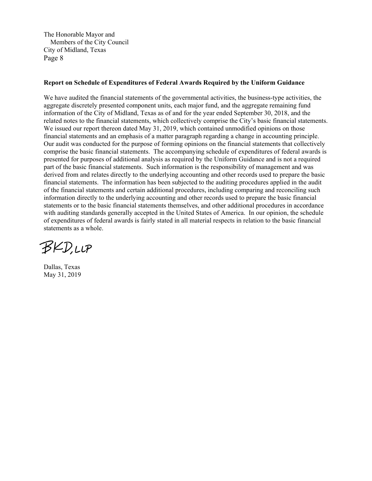The Honorable Mayor and Members of the City Council City of Midland, Texas Page 8

#### **Report on Schedule of Expenditures of Federal Awards Required by the Uniform Guidance**

We have audited the financial statements of the governmental activities, the business-type activities, the aggregate discretely presented component units, each major fund, and the aggregate remaining fund information of the City of Midland, Texas as of and for the year ended September 30, 2018, and the related notes to the financial statements, which collectively comprise the City's basic financial statements. We issued our report thereon dated May 31, 2019, which contained unmodified opinions on those financial statements and an emphasis of a matter paragraph regarding a change in accounting principle. Our audit was conducted for the purpose of forming opinions on the financial statements that collectively comprise the basic financial statements. The accompanying schedule of expenditures of federal awards is presented for purposes of additional analysis as required by the Uniform Guidance and is not a required part of the basic financial statements. Such information is the responsibility of management and was derived from and relates directly to the underlying accounting and other records used to prepare the basic financial statements. The information has been subjected to the auditing procedures applied in the audit of the financial statements and certain additional procedures, including comparing and reconciling such information directly to the underlying accounting and other records used to prepare the basic financial statements or to the basic financial statements themselves, and other additional procedures in accordance with auditing standards generally accepted in the United States of America. In our opinion, the schedule of expenditures of federal awards is fairly stated in all material respects in relation to the basic financial statements as a whole.

**BKD,LLP** 

Dallas, Texas May 31, 2019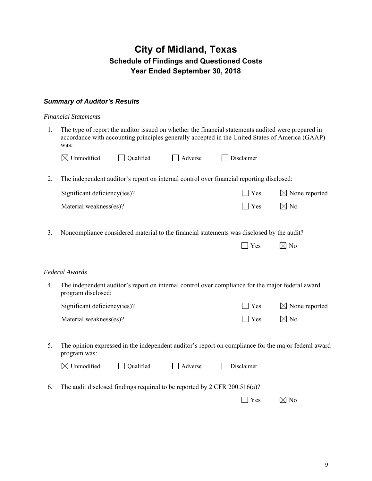# **City of Midland, Texas Schedule of Findings and Questioned Costs Year Ended September 30, 2018**

### *Summary of Auditor's Results*

#### *Financial Statements*

1. The type of report the auditor issued on whether the financial statements audited were prepared in accordance with accounting principles generally accepted in the United States of America (GAAP) was:

| $\boxtimes$ Unmodified       | Qualified | Adverse | Disclaimer                                                                               |                           |
|------------------------------|-----------|---------|------------------------------------------------------------------------------------------|---------------------------|
|                              |           |         | The independent auditor's report on internal control over financial reporting disclosed: |                           |
| Significant deficiency(ies)? |           |         | $\Box$ Yes                                                                               | $\boxtimes$ None reported |
| Material weakness(es)?       |           |         | $\perp$ Yes                                                                              | ⊠ No                      |

3. Noncompliance considered material to the financial statements was disclosed by the audit?

| $\boxtimes$ No | Yes |  |
|----------------|-----|--|
|----------------|-----|--|

#### *Federal Awards*

4. The independent auditor's report on internal control over compliance for the major federal award program disclosed:

| Significant deficiency(ies)? | $\Box$ Yes                | $\boxtimes$ None reported |
|------------------------------|---------------------------|---------------------------|
| Material weakness(es)?       | $\Box$ Yes $\boxtimes$ No |                           |

5. The opinion expressed in the independent auditor's report on compliance for the major federal award program was:

| $\boxtimes$ Unmodified | $\Box$ Qualified | $\Box$ Adverse | $\Box$ Disclaimer |  |
|------------------------|------------------|----------------|-------------------|--|
|                        |                  |                |                   |  |

6. The audit disclosed findings required to be reported by 2 CFR 200.516(a)?

|  | $\boxtimes$ No |
|--|----------------|
|--|----------------|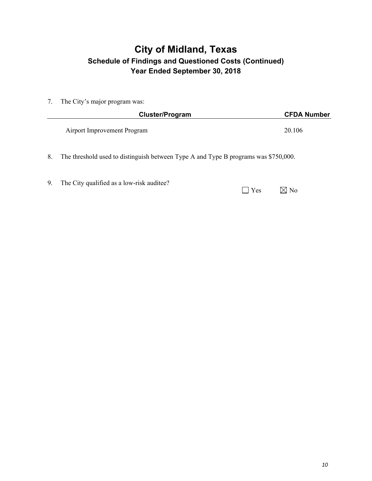# **City of Midland, Texas Schedule of Findings and Questioned Costs (Continued) Year Ended September 30, 2018**

7. The City's major program was:

|    | Cluster/Program                                                                     | <b>CFDA Number</b> |
|----|-------------------------------------------------------------------------------------|--------------------|
|    | Airport Improvement Program                                                         | 20.106             |
| 8. | The threshold used to distinguish between Type A and Type B programs was \$750,000. |                    |

9. The City qualified as a low-risk auditee?

| Y es | $\boxtimes$ No |
|------|----------------|
|      |                |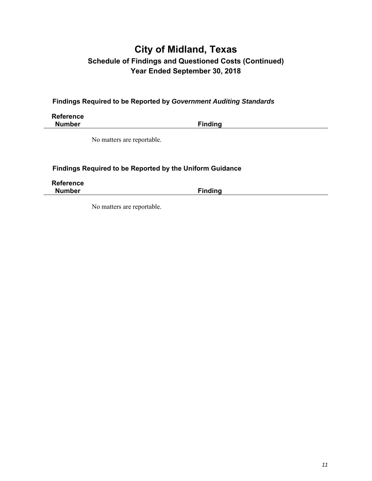# **City of Midland, Texas Schedule of Findings and Questioned Costs (Continued) Year Ended September 30, 2018**

**Findings Required to be Reported by** *Government Auditing Standards* 

**Reference Number Finding Community Property** 

No matters are reportable.

### **Findings Required to be Reported by the Uniform Guidance**

**Reference** 

**Finding** 

No matters are reportable.